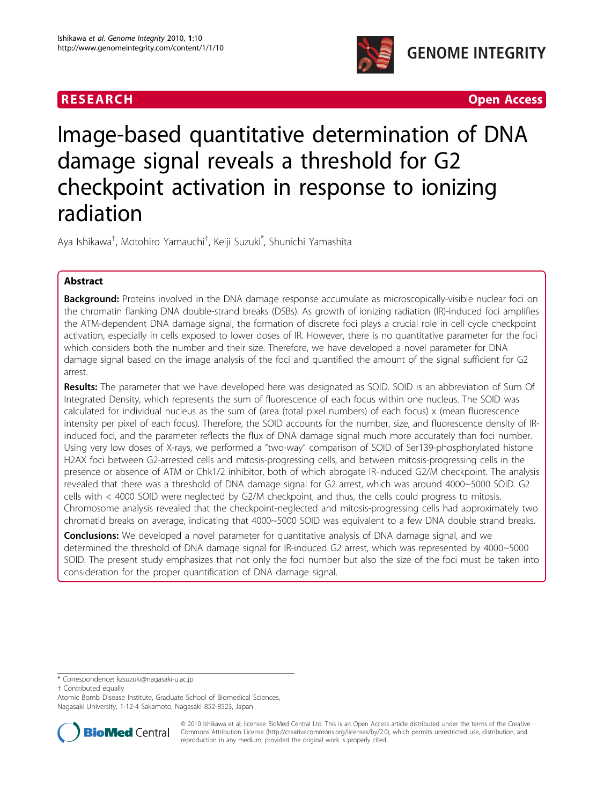



# Image-based quantitative determination of DNA damage signal reveals a threshold for G2 checkpoint activation in response to ionizing radiation

Aya Ishikawa<sup>†</sup>, Motohiro Yamauchi<sup>†</sup>, Keiji Suzuki<sup>\*</sup>, Shunichi Yamashita

# Abstract

**Background:** Proteins involved in the DNA damage response accumulate as microscopically-visible nuclear foci on the chromatin flanking DNA double-strand breaks (DSBs). As growth of ionizing radiation (IR)-induced foci amplifies the ATM-dependent DNA damage signal, the formation of discrete foci plays a crucial role in cell cycle checkpoint activation, especially in cells exposed to lower doses of IR. However, there is no quantitative parameter for the foci which considers both the number and their size. Therefore, we have developed a novel parameter for DNA damage signal based on the image analysis of the foci and quantified the amount of the signal sufficient for G2 arrest.

Results: The parameter that we have developed here was designated as SOID. SOID is an abbreviation of Sum Of Integrated Density, which represents the sum of fluorescence of each focus within one nucleus. The SOID was calculated for individual nucleus as the sum of (area (total pixel numbers) of each focus) x (mean fluorescence intensity per pixel of each focus). Therefore, the SOID accounts for the number, size, and fluorescence density of IRinduced foci, and the parameter reflects the flux of DNA damage signal much more accurately than foci number. Using very low doses of X-rays, we performed a "two-way" comparison of SOID of Ser139-phosphorylated histone H2AX foci between G2-arrested cells and mitosis-progressing cells, and between mitosis-progressing cells in the presence or absence of ATM or Chk1/2 inhibitor, both of which abrogate IR-induced G2/M checkpoint. The analysis revealed that there was a threshold of DNA damage signal for G2 arrest, which was around 4000~5000 SOID. G2 cells with < 4000 SOID were neglected by G2/M checkpoint, and thus, the cells could progress to mitosis. Chromosome analysis revealed that the checkpoint-neglected and mitosis-progressing cells had approximately two chromatid breaks on average, indicating that 4000~5000 SOID was equivalent to a few DNA double strand breaks.

**Conclusions:** We developed a novel parameter for quantitative analysis of DNA damage signal, and we determined the threshold of DNA damage signal for IR-induced G2 arrest, which was represented by 4000~5000 SOID. The present study emphasizes that not only the foci number but also the size of the foci must be taken into consideration for the proper quantification of DNA damage signal.

† Contributed equally

Atomic Bomb Disease Institute, Graduate School of Biomedical Sciences, Nagasaki University, 1-12-4 Sakamoto, Nagasaki 852-8523, Japan



© 2010 Ishikawa et al; licensee BioMed Central Ltd. This is an Open Access article distributed under the terms of the Creative Commons Attribution License [\(http://creativecommons.org/licenses/by/2.0](http://creativecommons.org/licenses/by/2.0)), which permits unrestricted use, distribution, and reproduction in any medium, provided the original work is properly cited.

<sup>\*</sup> Correspondence: [kzsuzuki@nagasaki-u.ac.jp](mailto:kzsuzuki@nagasaki-u.ac.jp)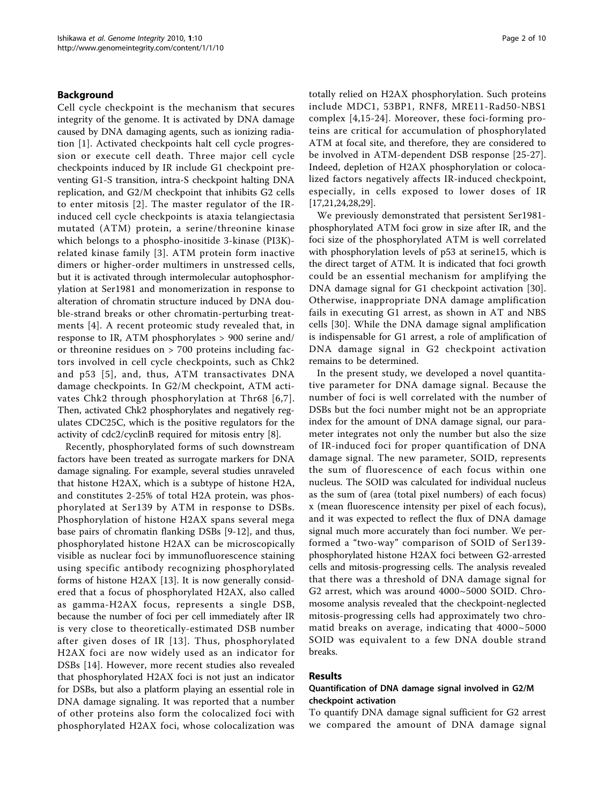## Background

Cell cycle checkpoint is the mechanism that secures integrity of the genome. It is activated by DNA damage caused by DNA damaging agents, such as ionizing radiation [[1\]](#page-9-0). Activated checkpoints halt cell cycle progression or execute cell death. Three major cell cycle checkpoints induced by IR include G1 checkpoint preventing G1-S transition, intra-S checkpoint halting DNA replication, and G2/M checkpoint that inhibits G2 cells to enter mitosis [[2\]](#page-9-0). The master regulator of the IRinduced cell cycle checkpoints is ataxia telangiectasia mutated (ATM) protein, a serine/threonine kinase which belongs to a phospho-inositide 3-kinase (PI3K) related kinase family [[3](#page-9-0)]. ATM protein form inactive dimers or higher-order multimers in unstressed cells, but it is activated through intermolecular autophosphorylation at Ser1981 and monomerization in response to alteration of chromatin structure induced by DNA double-strand breaks or other chromatin-perturbing treatments [[4](#page-9-0)]. A recent proteomic study revealed that, in response to IR, ATM phosphorylates > 900 serine and/ or threonine residues on > 700 proteins including factors involved in cell cycle checkpoints, such as Chk2 and p53 [[5\]](#page-9-0), and, thus, ATM transactivates DNA damage checkpoints. In G2/M checkpoint, ATM activates Chk2 through phosphorylation at Thr68 [[6,7\]](#page-9-0). Then, activated Chk2 phosphorylates and negatively regulates CDC25C, which is the positive regulators for the activity of cdc2/cyclinB required for mitosis entry [\[8\]](#page-9-0).

Recently, phosphorylated forms of such downstream factors have been treated as surrogate markers for DNA damage signaling. For example, several studies unraveled that histone H2AX, which is a subtype of histone H2A, and constitutes 2-25% of total H2A protein, was phosphorylated at Ser139 by ATM in response to DSBs. Phosphorylation of histone H2AX spans several mega base pairs of chromatin flanking DSBs [[9-12](#page-9-0)], and thus, phosphorylated histone H2AX can be microscopically visible as nuclear foci by immunofluorescence staining using specific antibody recognizing phosphorylated forms of histone H2AX [\[13](#page-9-0)]. It is now generally considered that a focus of phosphorylated H2AX, also called as gamma-H2AX focus, represents a single DSB, because the number of foci per cell immediately after IR is very close to theoretically-estimated DSB number after given doses of IR [[13](#page-9-0)]. Thus, phosphorylated H2AX foci are now widely used as an indicator for DSBs [[14\]](#page-9-0). However, more recent studies also revealed that phosphorylated H2AX foci is not just an indicator for DSBs, but also a platform playing an essential role in DNA damage signaling. It was reported that a number of other proteins also form the colocalized foci with phosphorylated H2AX foci, whose colocalization was totally relied on H2AX phosphorylation. Such proteins include MDC1, 53BP1, RNF8, MRE11-Rad50-NBS1 complex [[4](#page-9-0),[15-24\]](#page-9-0). Moreover, these foci-forming proteins are critical for accumulation of phosphorylated ATM at focal site, and therefore, they are considered to be involved in ATM-dependent DSB response [[25](#page-9-0)-[27](#page-9-0)]. Indeed, depletion of H2AX phosphorylation or colocalized factors negatively affects IR-induced checkpoint, especially, in cells exposed to lower doses of IR [[17,21,24](#page-9-0),[28,29](#page-9-0)].

We previously demonstrated that persistent Ser1981 phosphorylated ATM foci grow in size after IR, and the foci size of the phosphorylated ATM is well correlated with phosphorylation levels of p53 at serine15, which is the direct target of ATM. It is indicated that foci growth could be an essential mechanism for amplifying the DNA damage signal for G1 checkpoint activation [[30](#page-9-0)]. Otherwise, inappropriate DNA damage amplification fails in executing G1 arrest, as shown in AT and NBS cells [[30](#page-9-0)]. While the DNA damage signal amplification is indispensable for G1 arrest, a role of amplification of DNA damage signal in G2 checkpoint activation remains to be determined.

In the present study, we developed a novel quantitative parameter for DNA damage signal. Because the number of foci is well correlated with the number of DSBs but the foci number might not be an appropriate index for the amount of DNA damage signal, our parameter integrates not only the number but also the size of IR-induced foci for proper quantification of DNA damage signal. The new parameter, SOID, represents the sum of fluorescence of each focus within one nucleus. The SOID was calculated for individual nucleus as the sum of (area (total pixel numbers) of each focus) x (mean fluorescence intensity per pixel of each focus), and it was expected to reflect the flux of DNA damage signal much more accurately than foci number. We performed a "two-way" comparison of SOID of Ser139 phosphorylated histone H2AX foci between G2-arrested cells and mitosis-progressing cells. The analysis revealed that there was a threshold of DNA damage signal for G2 arrest, which was around 4000~5000 SOID. Chromosome analysis revealed that the checkpoint-neglected mitosis-progressing cells had approximately two chromatid breaks on average, indicating that 4000~5000 SOID was equivalent to a few DNA double strand breaks.

#### Results

## Quantification of DNA damage signal involved in G2/M checkpoint activation

To quantify DNA damage signal sufficient for G2 arrest we compared the amount of DNA damage signal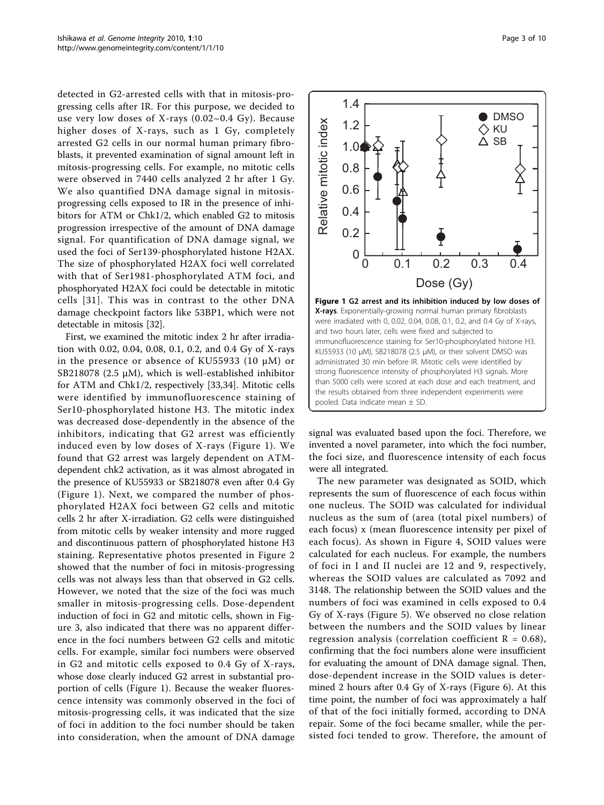<span id="page-2-0"></span>detected in G2-arrested cells with that in mitosis-progressing cells after IR. For this purpose, we decided to use very low doses of X-rays (0.02~0.4 Gy). Because higher doses of X-rays, such as 1 Gy, completely arrested G2 cells in our normal human primary fibroblasts, it prevented examination of signal amount left in mitosis-progressing cells. For example, no mitotic cells were observed in 7440 cells analyzed 2 hr after 1 Gy. We also quantified DNA damage signal in mitosisprogressing cells exposed to IR in the presence of inhibitors for ATM or Chk1/2, which enabled G2 to mitosis progression irrespective of the amount of DNA damage signal. For quantification of DNA damage signal, we used the foci of Ser139-phosphorylated histone H2AX. The size of phosphorylated H2AX foci well correlated with that of Ser1981-phosphorylated ATM foci, and phosphoryated H2AX foci could be detectable in mitotic cells [[31\]](#page-9-0). This was in contrast to the other DNA damage checkpoint factors like 53BP1, which were not detectable in mitosis [[32](#page-9-0)].

First, we examined the mitotic index 2 hr after irradiation with 0.02, 0.04, 0.08, 0.1, 0.2, and 0.4 Gy of X-rays in the presence or absence of KU55933 (10 μM) or SB218078 (2.5  $\mu$ M), which is well-established inhibitor for ATM and Chk1/2, respectively [[33,34\]](#page-9-0). Mitotic cells were identified by immunofluorescence staining of Ser10-phosphorylated histone H3. The mitotic index was decreased dose-dependently in the absence of the inhibitors, indicating that G2 arrest was efficiently induced even by low doses of X-rays (Figure 1). We found that G2 arrest was largely dependent on ATMdependent chk2 activation, as it was almost abrogated in the presence of KU55933 or SB218078 even after 0.4 Gy (Figure 1). Next, we compared the number of phosphorylated H2AX foci between G2 cells and mitotic cells 2 hr after X-irradiation. G2 cells were distinguished from mitotic cells by weaker intensity and more rugged and discontinuous pattern of phosphorylated histone H3 staining. Representative photos presented in Figure [2](#page-3-0) showed that the number of foci in mitosis-progressing cells was not always less than that observed in G2 cells. However, we noted that the size of the foci was much smaller in mitosis-progressing cells. Dose-dependent induction of foci in G2 and mitotic cells, shown in Figure [3,](#page-3-0) also indicated that there was no apparent difference in the foci numbers between G2 cells and mitotic cells. For example, similar foci numbers were observed in G2 and mitotic cells exposed to 0.4 Gy of X-rays, whose dose clearly induced G2 arrest in substantial proportion of cells (Figure 1). Because the weaker fluorescence intensity was commonly observed in the foci of mitosis-progressing cells, it was indicated that the size of foci in addition to the foci number should be taken into consideration, when the amount of DNA damage



signal was evaluated based upon the foci. Therefore, we invented a novel parameter, into which the foci number, the foci size, and fluorescence intensity of each focus were all integrated.

The new parameter was designated as SOID, which represents the sum of fluorescence of each focus within one nucleus. The SOID was calculated for individual nucleus as the sum of (area (total pixel numbers) of each focus) x (mean fluorescence intensity per pixel of each focus). As shown in Figure [4,](#page-3-0) SOID values were calculated for each nucleus. For example, the numbers of foci in I and II nuclei are 12 and 9, respectively, whereas the SOID values are calculated as 7092 and 3148. The relationship between the SOID values and the numbers of foci was examined in cells exposed to 0.4 Gy of X-rays (Figure [5\)](#page-3-0). We observed no close relation between the numbers and the SOID values by linear regression analysis (correlation coefficient  $R = 0.68$ ), confirming that the foci numbers alone were insufficient for evaluating the amount of DNA damage signal. Then, dose-dependent increase in the SOID values is determined 2 hours after 0.4 Gy of X-rays (Figure [6](#page-4-0)). At this time point, the number of foci was approximately a half of that of the foci initially formed, according to DNA repair. Some of the foci became smaller, while the persisted foci tended to grow. Therefore, the amount of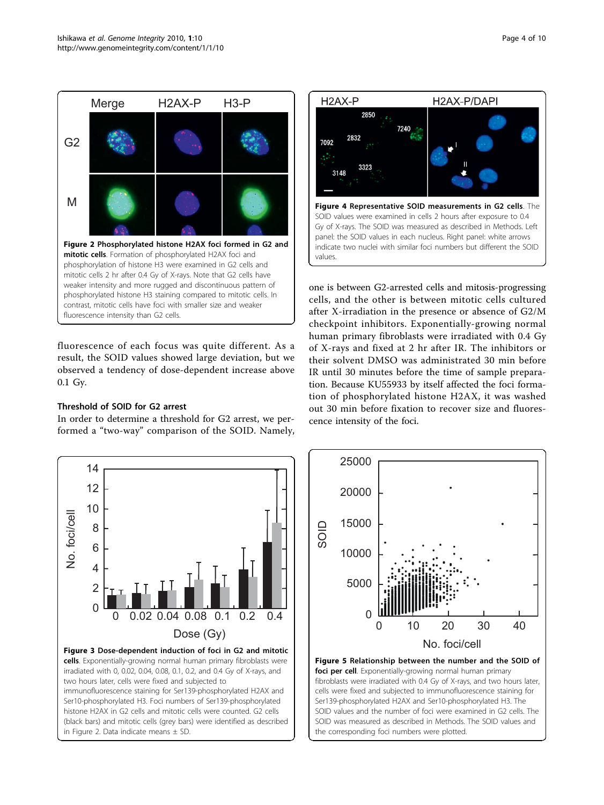<span id="page-3-0"></span>

fluorescence of each focus was quite different. As a result, the SOID values showed large deviation, but we observed a tendency of dose-dependent increase above 0.1 Gy.

# Threshold of SOID for G2 arrest

In order to determine a threshold for G2 arrest, we performed a "two-way" comparison of the SOID. Namely,



one is between G2-arrested cells and mitosis-progressing cells, and the other is between mitotic cells cultured after X-irradiation in the presence or absence of G2/M checkpoint inhibitors. Exponentially-growing normal human primary fibroblasts were irradiated with 0.4 Gy of X-rays and fixed at 2 hr after IR. The inhibitors or their solvent DMSO was administrated 30 min before IR until 30 minutes before the time of sample preparation. Because KU55933 by itself affected the foci formation of phosphorylated histone H2AX, it was washed out 30 min before fixation to recover size and fluorescence intensity of the foci.





fibroblasts were irradiated with 0.4 Gy of X-rays, and two hours later, cells were fixed and subjected to immunofluorescence staining for Ser139-phosphorylated H2AX and Ser10-phosphorylated H3. The SOID values and the number of foci were examined in G2 cells. The SOID was measured as described in Methods. The SOID values and the corresponding foci numbers were plotted.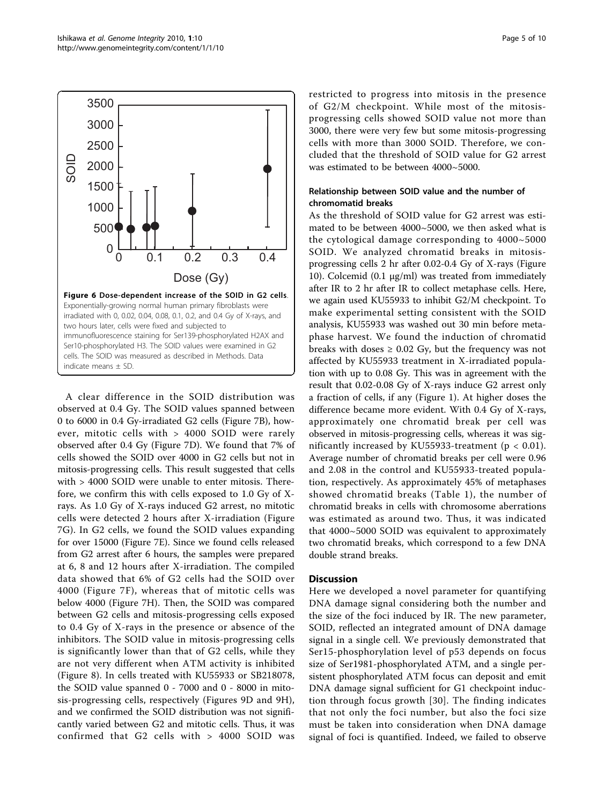<span id="page-4-0"></span>

A clear difference in the SOID distribution was observed at 0.4 Gy. The SOID values spanned between 0 to 6000 in 0.4 Gy-irradiated G2 cells (Figure [7B](#page-5-0)), however, mitotic cells with > 4000 SOID were rarely observed after 0.4 Gy (Figure [7D\)](#page-5-0). We found that 7% of cells showed the SOID over 4000 in G2 cells but not in mitosis-progressing cells. This result suggested that cells with > 4000 SOID were unable to enter mitosis. Therefore, we confirm this with cells exposed to 1.0 Gy of Xrays. As 1.0 Gy of X-rays induced G2 arrest, no mitotic cells were detected 2 hours after X-irradiation (Figure [7G](#page-5-0)). In G2 cells, we found the SOID values expanding for over 15000 (Figure [7E](#page-5-0)). Since we found cells released from G2 arrest after 6 hours, the samples were prepared at 6, 8 and 12 hours after X-irradiation. The compiled data showed that 6% of G2 cells had the SOID over 4000 (Figure [7F](#page-5-0)), whereas that of mitotic cells was below 4000 (Figure [7H](#page-5-0)). Then, the SOID was compared between G2 cells and mitosis-progressing cells exposed to 0.4 Gy of X-rays in the presence or absence of the inhibitors. The SOID value in mitosis-progressing cells is significantly lower than that of G2 cells, while they are not very different when ATM activity is inhibited (Figure [8\)](#page-5-0). In cells treated with KU55933 or SB218078, the SOID value spanned 0 - 7000 and 0 - 8000 in mitosis-progressing cells, respectively (Figures [9D](#page-6-0) and [9H\)](#page-6-0), and we confirmed the SOID distribution was not significantly varied between G2 and mitotic cells. Thus, it was confirmed that G2 cells with > 4000 SOID was restricted to progress into mitosis in the presence of G2/M checkpoint. While most of the mitosisprogressing cells showed SOID value not more than 3000, there were very few but some mitosis-progressing cells with more than 3000 SOID. Therefore, we concluded that the threshold of SOID value for G2 arrest was estimated to be between 4000~5000.

## Relationship between SOID value and the number of chromomatid breaks

As the threshold of SOID value for G2 arrest was estimated to be between 4000~5000, we then asked what is the cytological damage corresponding to 4000~5000 SOID. We analyzed chromatid breaks in mitosisprogressing cells 2 hr after 0.02-0.4 Gy of X-rays (Figure [10\)](#page-6-0). Colcemid (0.1 μg/ml) was treated from immediately after IR to 2 hr after IR to collect metaphase cells. Here, we again used KU55933 to inhibit G2/M checkpoint. To make experimental setting consistent with the SOID analysis, KU55933 was washed out 30 min before metaphase harvest. We found the induction of chromatid breaks with doses  $\geq 0.02$  Gy, but the frequency was not affected by KU55933 treatment in X-irradiated population with up to 0.08 Gy. This was in agreement with the result that 0.02-0.08 Gy of X-rays induce G2 arrest only a fraction of cells, if any (Figure [1](#page-2-0)). At higher doses the difference became more evident. With 0.4 Gy of X-rays, approximately one chromatid break per cell was observed in mitosis-progressing cells, whereas it was significantly increased by KU55933-treatment ( $p < 0.01$ ). Average number of chromatid breaks per cell were 0.96 and 2.08 in the control and KU55933-treated population, respectively. As approximately 45% of metaphases showed chromatid breaks (Table [1](#page-7-0)), the number of chromatid breaks in cells with chromosome aberrations was estimated as around two. Thus, it was indicated that 4000~5000 SOID was equivalent to approximately two chromatid breaks, which correspond to a few DNA double strand breaks.

## **Discussion**

Here we developed a novel parameter for quantifying DNA damage signal considering both the number and the size of the foci induced by IR. The new parameter, SOID, reflected an integrated amount of DNA damage signal in a single cell. We previously demonstrated that Ser15-phosphorylation level of p53 depends on focus size of Ser1981-phosphorylated ATM, and a single persistent phosphorylated ATM focus can deposit and emit DNA damage signal sufficient for G1 checkpoint induction through focus growth [[30\]](#page-9-0). The finding indicates that not only the foci number, but also the foci size must be taken into consideration when DNA damage signal of foci is quantified. Indeed, we failed to observe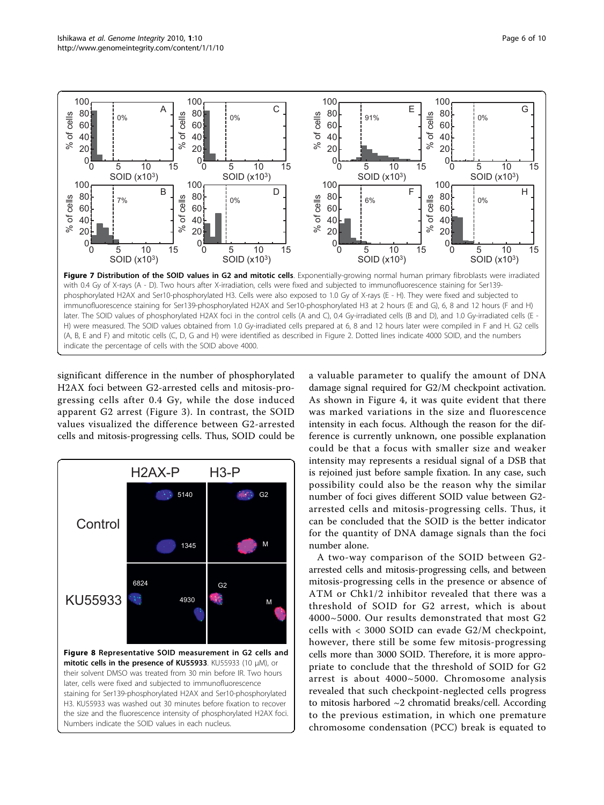<span id="page-5-0"></span>

significant difference in the number of phosphorylated H2AX foci between G2-arrested cells and mitosis-progressing cells after 0.4 Gy, while the dose induced apparent G2 arrest (Figure [3](#page-3-0)). In contrast, the SOID values visualized the difference between G2-arrested cells and mitosis-progressing cells. Thus, SOID could be



a valuable parameter to qualify the amount of DNA damage signal required for G2/M checkpoint activation. As shown in Figure [4](#page-3-0), it was quite evident that there was marked variations in the size and fluorescence intensity in each focus. Although the reason for the difference is currently unknown, one possible explanation could be that a focus with smaller size and weaker intensity may represents a residual signal of a DSB that is rejoined just before sample fixation. In any case, such possibility could also be the reason why the similar number of foci gives different SOID value between G2 arrested cells and mitosis-progressing cells. Thus, it can be concluded that the SOID is the better indicator for the quantity of DNA damage signals than the foci number alone.

A two-way comparison of the SOID between G2 arrested cells and mitosis-progressing cells, and between mitosis-progressing cells in the presence or absence of ATM or Chk1/2 inhibitor revealed that there was a threshold of SOID for G2 arrest, which is about 4000~5000. Our results demonstrated that most G2 cells with < 3000 SOID can evade G2/M checkpoint, however, there still be some few mitosis-progressing cells more than 3000 SOID. Therefore, it is more appropriate to conclude that the threshold of SOID for G2 arrest is about 4000~5000. Chromosome analysis revealed that such checkpoint-neglected cells progress to mitosis harbored ~2 chromatid breaks/cell. According to the previous estimation, in which one premature chromosome condensation (PCC) break is equated to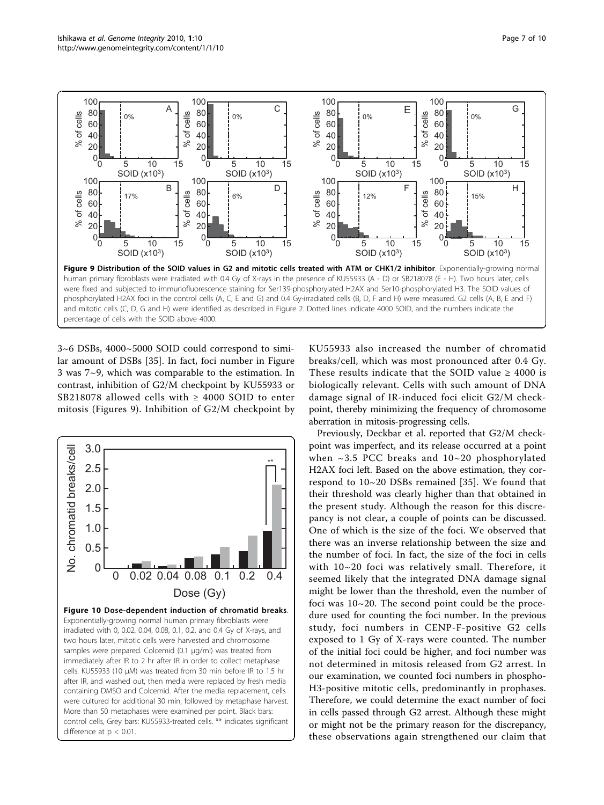<span id="page-6-0"></span>

3~6 DSBs, 4000~5000 SOID could correspond to similar amount of DSBs [[35\]](#page-9-0). In fact, foci number in Figure [3](#page-3-0) was 7~9, which was comparable to the estimation. In contrast, inhibition of G2/M checkpoint by KU55933 or SB218078 allowed cells with  $\geq$  4000 SOID to enter mitosis (Figures 9). Inhibition of G2/M checkpoint by



KU55933 also increased the number of chromatid breaks/cell, which was most pronounced after 0.4 Gy. These results indicate that the SOID value  $\geq$  4000 is biologically relevant. Cells with such amount of DNA damage signal of IR-induced foci elicit G2/M checkpoint, thereby minimizing the frequency of chromosome aberration in mitosis-progressing cells.

Previously, Deckbar et al. reported that G2/M checkpoint was imperfect, and its release occurred at a point when  $\sim$ 3.5 PCC breaks and 10 $\sim$ 20 phosphorylated H2AX foci left. Based on the above estimation, they correspond to 10~20 DSBs remained [\[35\]](#page-9-0). We found that their threshold was clearly higher than that obtained in the present study. Although the reason for this discrepancy is not clear, a couple of points can be discussed. One of which is the size of the foci. We observed that there was an inverse relationship between the size and the number of foci. In fact, the size of the foci in cells with 10~20 foci was relatively small. Therefore, it seemed likely that the integrated DNA damage signal might be lower than the threshold, even the number of foci was 10~20. The second point could be the procedure used for counting the foci number. In the previous study, foci numbers in CENP-F-positive G2 cells exposed to 1 Gy of X-rays were counted. The number of the initial foci could be higher, and foci number was not determined in mitosis released from G2 arrest. In our examination, we counted foci numbers in phospho-H3-positive mitotic cells, predominantly in prophases. Therefore, we could determine the exact number of foci in cells passed through G2 arrest. Although these might or might not be the primary reason for the discrepancy, these observations again strengthened our claim that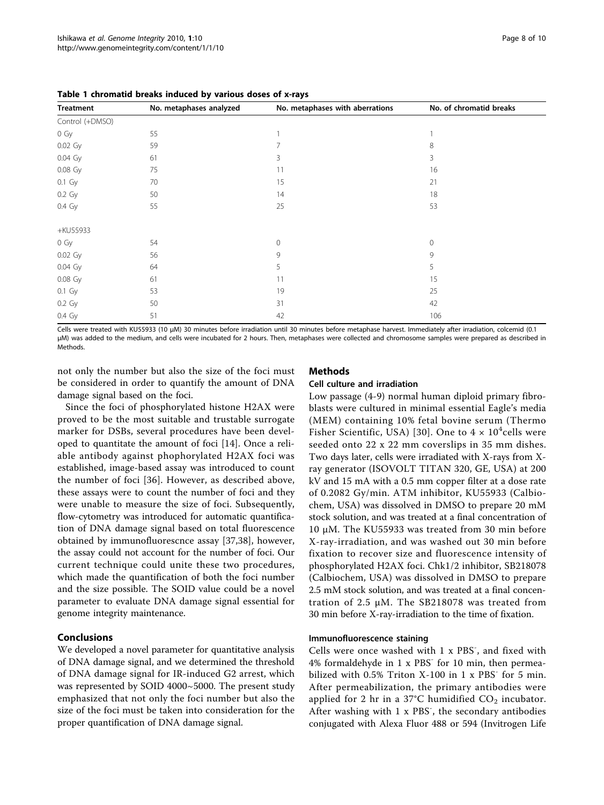| <b>Treatment</b> | No. metaphases analyzed | No. metaphases with aberrations | No. of chromatid breaks |
|------------------|-------------------------|---------------------------------|-------------------------|
| Control (+DMSO)  |                         |                                 |                         |
| $0\ Gy$          | 55                      |                                 |                         |
| 0.02 Gy          | 59                      |                                 | 8                       |
| 0.04 Gy          | 61                      | 3                               | 3                       |
| 0.08 Gy          | 75                      | 11                              | 16                      |
| $0.1\,$ Gy       | 70                      | 15                              | 21                      |
| 0.2 Gy           | 50                      | 14                              | 18                      |
| 0.4 Gy           | 55                      | 25                              | 53                      |
| +KU55933         |                         |                                 |                         |
| $0\ Gy$          | 54                      | 0                               | $\mathbf{0}$            |
| 0.02 Gy          | 56                      | 9                               | 9                       |
| 0.04 Gy          | 64                      | 5                               | 5                       |
| 0.08 Gy          | 61                      | 11                              | 15                      |
| $0.1\ Gy$        | 53                      | 19                              | 25                      |
| 0.2 Gy           | 50                      | 31                              | 42                      |
| 0.4 Gy           | 51                      | 42                              | 106                     |
|                  |                         |                                 |                         |

<span id="page-7-0"></span>Table 1 chromatid breaks induced by various doses of x-rays

Cells were treated with KU55933 (10 μM) 30 minutes before irradiation until 30 minutes before metaphase harvest. Immediately after irradiation, colcemid (0.1 μM) was added to the medium, and cells were incubated for 2 hours. Then, metaphases were collected and chromosome samples were prepared as described in **Methods** 

not only the number but also the size of the foci must be considered in order to quantify the amount of DNA damage signal based on the foci.

## **Mathods** Cell culture and irradiation

Since the foci of phosphorylated histone H2AX were proved to be the most suitable and trustable surrogate marker for DSBs, several procedures have been developed to quantitate the amount of foci [[14\]](#page-9-0). Once a reliable antibody against phophorylated H2AX foci was established, image-based assay was introduced to count the number of foci [[36](#page-9-0)]. However, as described above, these assays were to count the number of foci and they were unable to measure the size of foci. Subsequently, flow-cytometry was introduced for automatic quantification of DNA damage signal based on total fluorescence obtained by immunofluorescnce assay [[37,38\]](#page-9-0), however, the assay could not account for the number of foci. Our current technique could unite these two procedures, which made the quantification of both the foci number and the size possible. The SOID value could be a novel parameter to evaluate DNA damage signal essential for genome integrity maintenance.

# Conclusions

We developed a novel parameter for quantitative analysis of DNA damage signal, and we determined the threshold of DNA damage signal for IR-induced G2 arrest, which was represented by SOID 4000~5000. The present study emphasized that not only the foci number but also the size of the foci must be taken into consideration for the proper quantification of DNA damage signal.

Low passage (4-9) normal human diploid primary fibroblasts were cultured in minimal essential Eagle's media (MEM) containing 10% fetal bovine serum (Thermo Fisher Scientific, USA) [[30](#page-9-0)]. One to  $4 \times 10^4$ cells were seeded onto 22 x 22 mm coverslips in 35 mm dishes. Two days later, cells were irradiated with X-rays from Xray generator (ISOVOLT TITAN 320, GE, USA) at 200 kV and 15 mA with a 0.5 mm copper filter at a dose rate of 0.2082 Gy/min. ATM inhibitor, KU55933 (Calbiochem, USA) was dissolved in DMSO to prepare 20 mM stock solution, and was treated at a final concentration of 10 μM. The KU55933 was treated from 30 min before X-ray-irradiation, and was washed out 30 min before fixation to recover size and fluorescence intensity of phosphorylated H2AX foci. Chk1/2 inhibitor, SB218078 (Calbiochem, USA) was dissolved in DMSO to prepare 2.5 mM stock solution, and was treated at a final concentration of 2.5 μM. The SB218078 was treated from 30 min before X-ray-irradiation to the time of fixation.

# Immunofluorescence staining

Cells were once washed with 1 x PBS<sup>-</sup>, and fixed with 4% formaldehyde in 1 x PBS<sup>-</sup> for 10 min, then permeabilized with 0.5% Triton  $X-100$  in 1 x PBS<sup>-</sup> for 5 min. After permeabilization, the primary antibodies were applied for 2 hr in a 37°C humidified  $CO<sub>2</sub>$  incubator. After washing with 1 x PBS<sup>-</sup>, the secondary antibodies conjugated with Alexa Fluor 488 or 594 (Invitrogen Life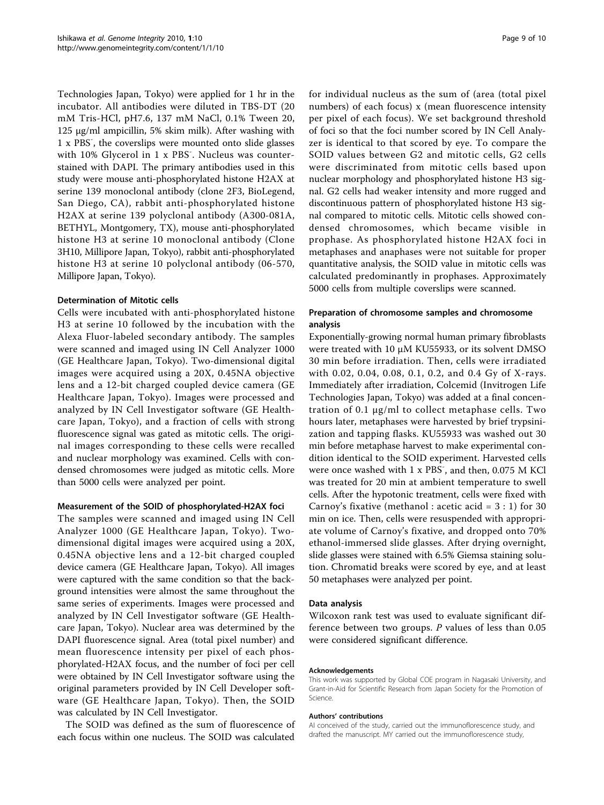Technologies Japan, Tokyo) were applied for 1 hr in the incubator. All antibodies were diluted in TBS-DT (20 mM Tris-HCl, pH7.6, 137 mM NaCl, 0.1% Tween 20, 125 μg/ml ampicillin, 5% skim milk). After washing with 1 x PBS- , the coverslips were mounted onto slide glasses with 10% Glycerol in 1 x PBS<sup>-</sup>. Nucleus was counterstained with DAPI. The primary antibodies used in this study were mouse anti-phosphorylated histone H2AX at serine 139 monoclonal antibody (clone 2F3, BioLegend, San Diego, CA), rabbit anti-phosphorylated histone H2AX at serine 139 polyclonal antibody (A300-081A, BETHYL, Montgomery, TX), mouse anti-phosphorylated histone H3 at serine 10 monoclonal antibody (Clone 3H10, Millipore Japan, Tokyo), rabbit anti-phosphorylated histone H3 at serine 10 polyclonal antibody (06-570, Millipore Japan, Tokyo).

## Determination of Mitotic cells

Cells were incubated with anti-phosphorylated histone H3 at serine 10 followed by the incubation with the Alexa Fluor-labeled secondary antibody. The samples were scanned and imaged using IN Cell Analyzer 1000 (GE Healthcare Japan, Tokyo). Two-dimensional digital images were acquired using a 20X, 0.45NA objective lens and a 12-bit charged coupled device camera (GE Healthcare Japan, Tokyo). Images were processed and analyzed by IN Cell Investigator software (GE Healthcare Japan, Tokyo), and a fraction of cells with strong fluorescence signal was gated as mitotic cells. The original images corresponding to these cells were recalled and nuclear morphology was examined. Cells with condensed chromosomes were judged as mitotic cells. More than 5000 cells were analyzed per point.

#### Measurement of the SOID of phosphorylated-H2AX foci

The samples were scanned and imaged using IN Cell Analyzer 1000 (GE Healthcare Japan, Tokyo). Twodimensional digital images were acquired using a 20X, 0.45NA objective lens and a 12-bit charged coupled device camera (GE Healthcare Japan, Tokyo). All images were captured with the same condition so that the background intensities were almost the same throughout the same series of experiments. Images were processed and analyzed by IN Cell Investigator software (GE Healthcare Japan, Tokyo). Nuclear area was determined by the DAPI fluorescence signal. Area (total pixel number) and mean fluorescence intensity per pixel of each phosphorylated-H2AX focus, and the number of foci per cell were obtained by IN Cell Investigator software using the original parameters provided by IN Cell Developer software (GE Healthcare Japan, Tokyo). Then, the SOID was calculated by IN Cell Investigator.

The SOID was defined as the sum of fluorescence of each focus within one nucleus. The SOID was calculated for individual nucleus as the sum of (area (total pixel numbers) of each focus) x (mean fluorescence intensity per pixel of each focus). We set background threshold of foci so that the foci number scored by IN Cell Analyzer is identical to that scored by eye. To compare the SOID values between G2 and mitotic cells, G2 cells were discriminated from mitotic cells based upon nuclear morphology and phosphorylated histone H3 signal. G2 cells had weaker intensity and more rugged and discontinuous pattern of phosphorylated histone H3 signal compared to mitotic cells. Mitotic cells showed condensed chromosomes, which became visible in prophase. As phosphorylated histone H2AX foci in metaphases and anaphases were not suitable for proper quantitative analysis, the SOID value in mitotic cells was calculated predominantly in prophases. Approximately 5000 cells from multiple coverslips were scanned.

## Preparation of chromosome samples and chromosome analysis

Exponentially-growing normal human primary fibroblasts were treated with 10 μM KU55933, or its solvent DMSO 30 min before irradiation. Then, cells were irradiated with 0.02, 0.04, 0.08, 0.1, 0.2, and 0.4 Gy of X-rays. Immediately after irradiation, Colcemid (Invitrogen Life Technologies Japan, Tokyo) was added at a final concentration of 0.1 μg/ml to collect metaphase cells. Two hours later, metaphases were harvested by brief trypsinization and tapping flasks. KU55933 was washed out 30 min before metaphase harvest to make experimental condition identical to the SOID experiment. Harvested cells were once washed with 1 x PBS<sup>-</sup>, and then, 0.075 M KCl was treated for 20 min at ambient temperature to swell cells. After the hypotonic treatment, cells were fixed with Carnoy's fixative (methanol : acetic acid =  $3:1$ ) for 30 min on ice. Then, cells were resuspended with appropriate volume of Carnoy's fixative, and dropped onto 70% ethanol-immersed slide glasses. After drying overnight, slide glasses were stained with 6.5% Giemsa staining solution. Chromatid breaks were scored by eye, and at least 50 metaphases were analyzed per point.

#### Data analysis

Wilcoxon rank test was used to evaluate significant difference between two groups. P values of less than 0.05 were considered significant difference.

#### Acknowledgements

This work was supported by Global COE program in Nagasaki University, and Grant-in-Aid for Scientific Research from Japan Society for the Promotion of Science.

#### Authors' contributions

AI conceived of the study, carried out the immunoflorescence study, and drafted the manuscript. MY carried out the immunoflorescence study,